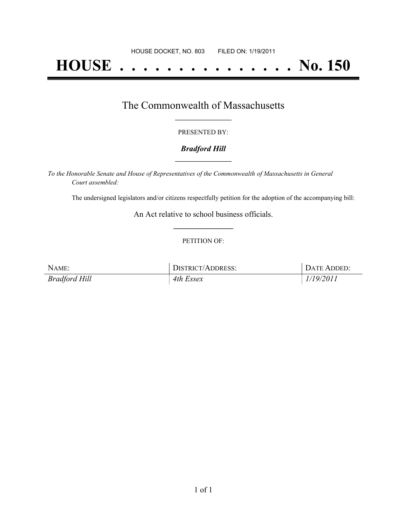# **HOUSE . . . . . . . . . . . . . . . No. 150**

## The Commonwealth of Massachusetts **\_\_\_\_\_\_\_\_\_\_\_\_\_\_\_\_\_**

#### PRESENTED BY:

#### *Bradford Hill* **\_\_\_\_\_\_\_\_\_\_\_\_\_\_\_\_\_**

*To the Honorable Senate and House of Representatives of the Commonwealth of Massachusetts in General Court assembled:*

The undersigned legislators and/or citizens respectfully petition for the adoption of the accompanying bill:

An Act relative to school business officials. **\_\_\_\_\_\_\_\_\_\_\_\_\_\_\_**

#### PETITION OF:

| NAME:         | DISTRICT/ADDRESS: | DATE ADDED: |
|---------------|-------------------|-------------|
| Bradford Hill | 4th Essex         | 1/19/2011   |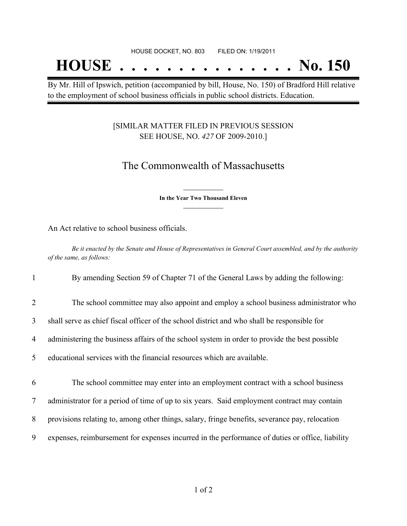## **HOUSE . . . . . . . . . . . . . . . No. 150**

By Mr. Hill of Ipswich, petition (accompanied by bill, House, No. 150) of Bradford Hill relative to the employment of school business officials in public school districts. Education.

#### [SIMILAR MATTER FILED IN PREVIOUS SESSION SEE HOUSE, NO. *427* OF 2009-2010.]

## The Commonwealth of Massachusetts

**\_\_\_\_\_\_\_\_\_\_\_\_\_\_\_ In the Year Two Thousand Eleven \_\_\_\_\_\_\_\_\_\_\_\_\_\_\_**

An Act relative to school business officials.

Be it enacted by the Senate and House of Representatives in General Court assembled, and by the authority *of the same, as follows:*

1 By amending Section 59 of Chapter 71 of the General Laws by adding the following:

- 2 The school committee may also appoint and employ a school business administrator who
- 3 shall serve as chief fiscal officer of the school district and who shall be responsible for
- 4 administering the business affairs of the school system in order to provide the best possible

5 educational services with the financial resources which are available.

6 The school committee may enter into an employment contract with a school business

7 administrator for a period of time of up to six years. Said employment contract may contain

- 8 provisions relating to, among other things, salary, fringe benefits, severance pay, relocation
- 9 expenses, reimbursement for expenses incurred in the performance of duties or office, liability